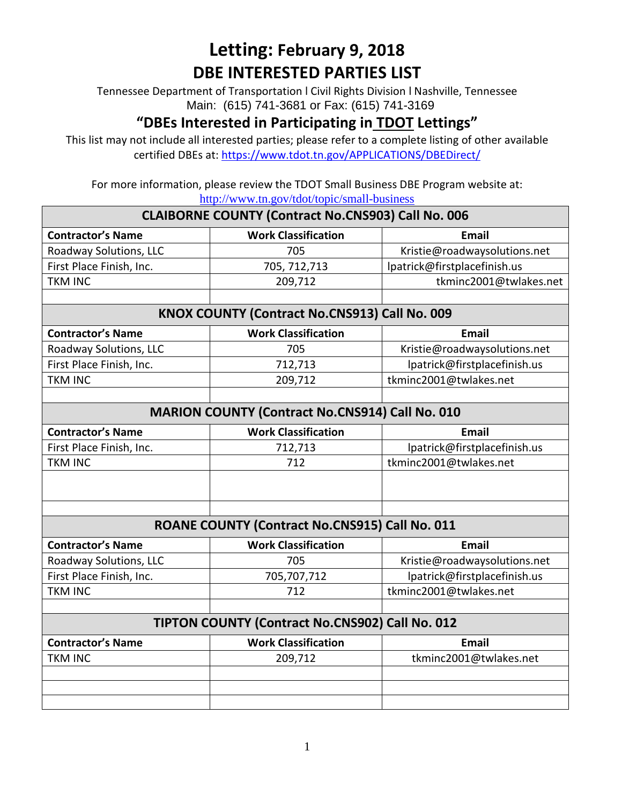Tennessee Department of Transportation l Civil Rights Division l Nashville, Tennessee Main: (615) 741-3681 or Fax: (615) 741-3169

### **"DBEs Interested in Participating in TDOT Lettings"**

This list may not include all interested parties; please refer to a complete listing of other available certified DBEs at:<https://www.tdot.tn.gov/APPLICATIONS/DBEDirect/>

|                                                           | <u>Hup</u> .// w w w.th.go <i>v</i> / tool/topic/shilah basiness |                              |  |
|-----------------------------------------------------------|------------------------------------------------------------------|------------------------------|--|
| <b>CLAIBORNE COUNTY (Contract No.CNS903) Call No. 006</b> |                                                                  |                              |  |
| <b>Contractor's Name</b>                                  | <b>Work Classification</b>                                       | <b>Email</b>                 |  |
| Roadway Solutions, LLC                                    | 705                                                              | Kristie@roadwaysolutions.net |  |
| First Place Finish, Inc.                                  | 705, 712, 713                                                    | lpatrick@firstplacefinish.us |  |
| <b>TKM INC</b>                                            | 209,712                                                          | tkminc2001@twlakes.net       |  |
|                                                           |                                                                  |                              |  |
|                                                           | KNOX COUNTY (Contract No.CNS913) Call No. 009                    |                              |  |
| <b>Contractor's Name</b>                                  | <b>Work Classification</b>                                       | <b>Email</b>                 |  |
| Roadway Solutions, LLC                                    | 705                                                              | Kristie@roadwaysolutions.net |  |
| First Place Finish, Inc.                                  | 712,713                                                          | lpatrick@firstplacefinish.us |  |
| <b>TKM INC</b>                                            | 209,712                                                          | tkminc2001@twlakes.net       |  |
|                                                           |                                                                  |                              |  |
| <b>MARION COUNTY (Contract No.CNS914) Call No. 010</b>    |                                                                  |                              |  |
| <b>Contractor's Name</b>                                  | <b>Work Classification</b>                                       | <b>Email</b>                 |  |
| First Place Finish, Inc.                                  | 712,713                                                          | lpatrick@firstplacefinish.us |  |
| <b>TKM INC</b>                                            | 712                                                              | tkminc2001@twlakes.net       |  |
|                                                           |                                                                  |                              |  |
|                                                           |                                                                  |                              |  |
|                                                           | ROANE COUNTY (Contract No.CNS915) Call No. 011                   |                              |  |
| <b>Contractor's Name</b>                                  | <b>Work Classification</b>                                       | <b>Email</b>                 |  |
| Roadway Solutions, LLC                                    | 705                                                              | Kristie@roadwaysolutions.net |  |
| First Place Finish, Inc.                                  | 705,707,712                                                      | lpatrick@firstplacefinish.us |  |
| <b>TKM INC</b>                                            | 712                                                              | tkminc2001@twlakes.net       |  |
|                                                           |                                                                  |                              |  |
| TIPTON COUNTY (Contract No.CNS902) Call No. 012           |                                                                  |                              |  |
| <b>Contractor's Name</b>                                  | <b>Work Classification</b>                                       | Email                        |  |
| <b>TKM INC</b>                                            | 209,712                                                          | tkminc2001@twlakes.net       |  |
|                                                           |                                                                  |                              |  |
|                                                           |                                                                  |                              |  |
|                                                           |                                                                  |                              |  |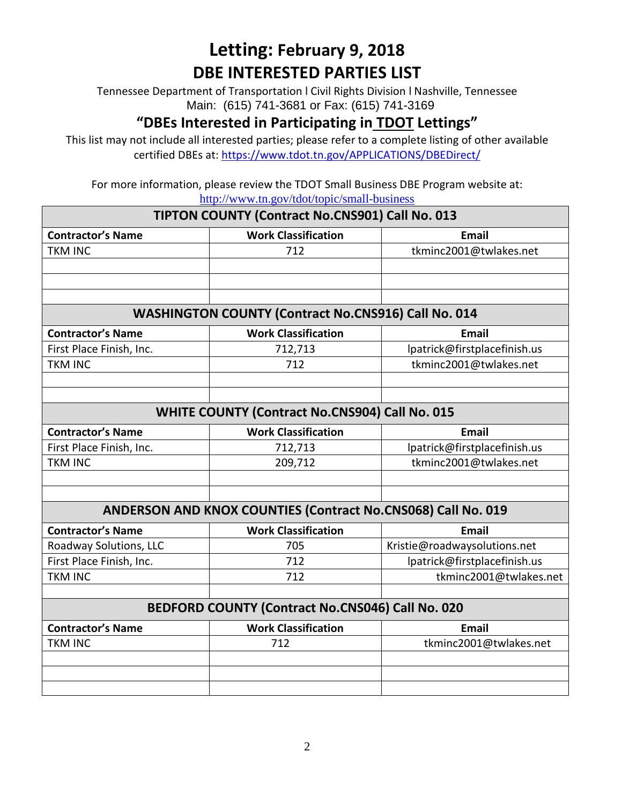Tennessee Department of Transportation l Civil Rights Division l Nashville, Tennessee Main: (615) 741-3681 or Fax: (615) 741-3169

### **"DBEs Interested in Participating in TDOT Lettings"**

This list may not include all interested parties; please refer to a complete listing of other available certified DBEs at:<https://www.tdot.tn.gov/APPLICATIONS/DBEDirect/>

| TIPTON COUNTY (Contract No.CNS901) Call No. 013              |                                                            |                              |
|--------------------------------------------------------------|------------------------------------------------------------|------------------------------|
| <b>Contractor's Name</b>                                     | <b>Work Classification</b>                                 | <b>Email</b>                 |
| <b>TKM INC</b>                                               | 712                                                        | tkminc2001@twlakes.net       |
|                                                              |                                                            |                              |
|                                                              |                                                            |                              |
|                                                              |                                                            |                              |
|                                                              | <b>WASHINGTON COUNTY (Contract No.CNS916) Call No. 014</b> |                              |
| <b>Contractor's Name</b>                                     | <b>Work Classification</b>                                 | <b>Email</b>                 |
| First Place Finish, Inc.                                     | 712,713                                                    | lpatrick@firstplacefinish.us |
| <b>TKM INC</b>                                               | 712                                                        | tkminc2001@twlakes.net       |
|                                                              |                                                            |                              |
|                                                              |                                                            |                              |
|                                                              | <b>WHITE COUNTY (Contract No.CNS904) Call No. 015</b>      |                              |
| <b>Contractor's Name</b>                                     | <b>Work Classification</b>                                 | <b>Email</b>                 |
| First Place Finish, Inc.                                     | 712,713                                                    | lpatrick@firstplacefinish.us |
| <b>TKM INC</b>                                               | 209,712                                                    | tkminc2001@twlakes.net       |
|                                                              |                                                            |                              |
|                                                              |                                                            |                              |
| ANDERSON AND KNOX COUNTIES (Contract No.CNS068) Call No. 019 |                                                            |                              |
| <b>Contractor's Name</b>                                     | <b>Work Classification</b>                                 | <b>Email</b>                 |
| Roadway Solutions, LLC                                       | 705                                                        | Kristie@roadwaysolutions.net |
| First Place Finish, Inc.                                     | 712                                                        | lpatrick@firstplacefinish.us |
| <b>TKM INC</b>                                               | 712                                                        | tkminc2001@twlakes.net       |
|                                                              |                                                            |                              |
| BEDFORD COUNTY (Contract No.CNS046) Call No. 020             |                                                            |                              |
| <b>Contractor's Name</b>                                     | <b>Work Classification</b>                                 | <b>Email</b>                 |
| <b>TKM INC</b>                                               | 712                                                        | tkminc2001@twlakes.net       |
|                                                              |                                                            |                              |
|                                                              |                                                            |                              |
|                                                              |                                                            |                              |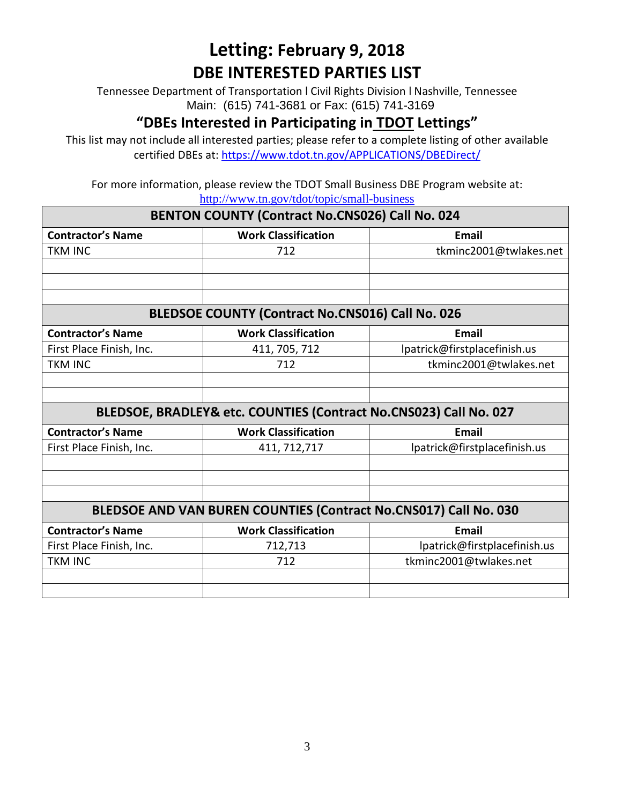Tennessee Department of Transportation l Civil Rights Division l Nashville, Tennessee Main: (615) 741-3681 or Fax: (615) 741-3169

#### **"DBEs Interested in Participating in TDOT Lettings"**

This list may not include all interested parties; please refer to a complete listing of other available certified DBEs at:<https://www.tdot.tn.gov/APPLICATIONS/DBEDirect/>

| BENTON COUNTY (Contract No.CNS026) Call No. 024                  |                                                                   |                              |
|------------------------------------------------------------------|-------------------------------------------------------------------|------------------------------|
| <b>Contractor's Name</b>                                         | <b>Work Classification</b>                                        | <b>Email</b>                 |
| <b>TKM INC</b>                                                   | 712                                                               | tkminc2001@twlakes.net       |
|                                                                  |                                                                   |                              |
|                                                                  |                                                                   |                              |
|                                                                  |                                                                   |                              |
|                                                                  | <b>BLEDSOE COUNTY (Contract No.CNS016) Call No. 026</b>           |                              |
| <b>Contractor's Name</b>                                         | <b>Work Classification</b>                                        | Email                        |
| First Place Finish, Inc.                                         | 411, 705, 712                                                     | lpatrick@firstplacefinish.us |
| <b>TKM INC</b>                                                   | 712                                                               | tkminc2001@twlakes.net       |
|                                                                  |                                                                   |                              |
|                                                                  |                                                                   |                              |
|                                                                  | BLEDSOE, BRADLEY& etc. COUNTIES (Contract No.CNS023) Call No. 027 |                              |
| <b>Contractor's Name</b>                                         | <b>Work Classification</b>                                        | Email                        |
| First Place Finish, Inc.                                         | 411, 712, 717                                                     | lpatrick@firstplacefinish.us |
|                                                                  |                                                                   |                              |
|                                                                  |                                                                   |                              |
|                                                                  |                                                                   |                              |
| BLEDSOE AND VAN BUREN COUNTIES (Contract No.CNS017) Call No. 030 |                                                                   |                              |
| <b>Contractor's Name</b>                                         | <b>Work Classification</b>                                        | <b>Email</b>                 |
| First Place Finish, Inc.                                         | 712,713                                                           | lpatrick@firstplacefinish.us |
| <b>TKM INC</b>                                                   | 712                                                               | tkminc2001@twlakes.net       |
|                                                                  |                                                                   |                              |
|                                                                  |                                                                   |                              |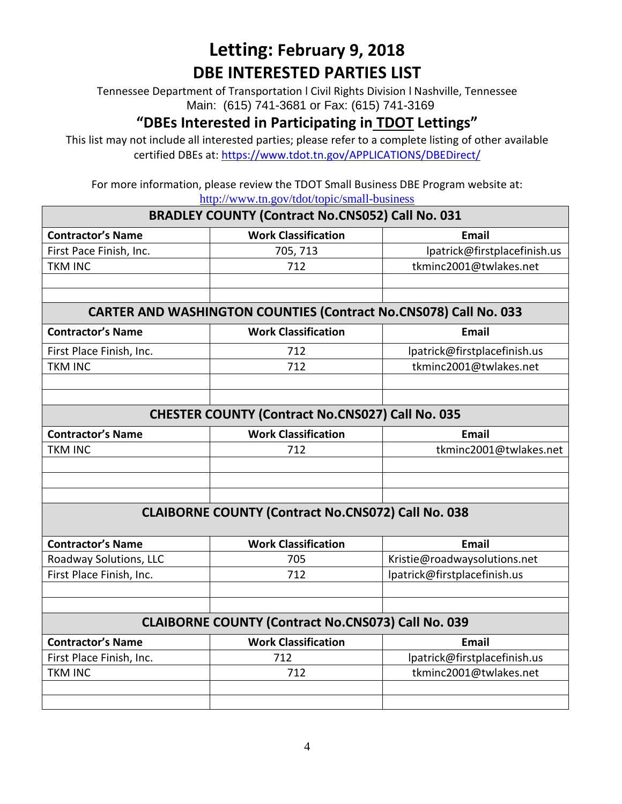Tennessee Department of Transportation l Civil Rights Division l Nashville, Tennessee Main: (615) 741-3681 or Fax: (615) 741-3169

### **"DBEs Interested in Participating in TDOT Lettings"**

This list may not include all interested parties; please refer to a complete listing of other available certified DBEs at:<https://www.tdot.tn.gov/APPLICATIONS/DBEDirect/>

|                                                           | <u>http://www.th.gov/tuot/topic/sinan-business</u>                      |                              |  |
|-----------------------------------------------------------|-------------------------------------------------------------------------|------------------------------|--|
| <b>BRADLEY COUNTY (Contract No.CNS052) Call No. 031</b>   |                                                                         |                              |  |
| <b>Contractor's Name</b>                                  | <b>Work Classification</b>                                              | <b>Email</b>                 |  |
| First Pace Finish, Inc.                                   | 705, 713                                                                | lpatrick@firstplacefinish.us |  |
| <b>TKM INC</b>                                            | 712                                                                     | tkminc2001@twlakes.net       |  |
|                                                           |                                                                         |                              |  |
|                                                           |                                                                         |                              |  |
|                                                           | <b>CARTER AND WASHINGTON COUNTIES (Contract No.CNS078) Call No. 033</b> |                              |  |
| <b>Contractor's Name</b>                                  | <b>Work Classification</b>                                              | <b>Email</b>                 |  |
| First Place Finish, Inc.                                  | 712                                                                     | lpatrick@firstplacefinish.us |  |
| <b>TKM INC</b>                                            | 712                                                                     | tkminc2001@twlakes.net       |  |
|                                                           |                                                                         |                              |  |
|                                                           |                                                                         |                              |  |
| <b>CHESTER COUNTY (Contract No.CNS027) Call No. 035</b>   |                                                                         |                              |  |
| <b>Contractor's Name</b>                                  | <b>Work Classification</b>                                              | <b>Email</b>                 |  |
| <b>TKM INC</b>                                            | 712                                                                     | tkminc2001@twlakes.net       |  |
|                                                           |                                                                         |                              |  |
|                                                           |                                                                         |                              |  |
|                                                           |                                                                         |                              |  |
| <b>CLAIBORNE COUNTY (Contract No.CNS072) Call No. 038</b> |                                                                         |                              |  |
| <b>Contractor's Name</b>                                  | <b>Work Classification</b>                                              | <b>Email</b>                 |  |
| Roadway Solutions, LLC                                    | 705                                                                     | Kristie@roadwaysolutions.net |  |
| First Place Finish, Inc.                                  | 712                                                                     | lpatrick@firstplacefinish.us |  |
|                                                           |                                                                         |                              |  |
|                                                           |                                                                         |                              |  |
|                                                           | <b>CLAIBORNE COUNTY (Contract No.CNS073) Call No. 039</b>               |                              |  |
| <b>Contractor's Name</b>                                  | <b>Work Classification</b>                                              | <b>Email</b>                 |  |
| First Place Finish, Inc.                                  | 712                                                                     | lpatrick@firstplacefinish.us |  |
| <b>TKM INC</b>                                            | 712                                                                     | tkminc2001@twlakes.net       |  |
|                                                           |                                                                         |                              |  |
|                                                           |                                                                         |                              |  |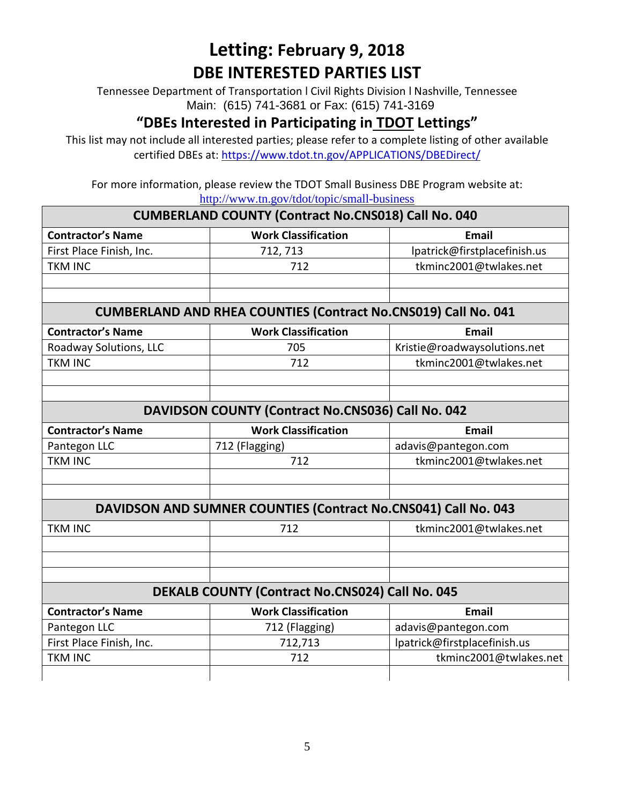Tennessee Department of Transportation l Civil Rights Division l Nashville, Tennessee Main: (615) 741-3681 or Fax: (615) 741-3169

### **"DBEs Interested in Participating in TDOT Lettings"**

This list may not include all interested parties; please refer to a complete listing of other available certified DBEs at:<https://www.tdot.tn.gov/APPLICATIONS/DBEDirect/>

| <b>CUMBERLAND COUNTY (Contract No.CNS018) Call No. 040</b> |                                                                       |                              |  |
|------------------------------------------------------------|-----------------------------------------------------------------------|------------------------------|--|
| <b>Contractor's Name</b>                                   | <b>Work Classification</b>                                            | <b>Email</b>                 |  |
| First Place Finish, Inc.                                   | 712, 713                                                              | lpatrick@firstplacefinish.us |  |
| <b>TKM INC</b>                                             | 712                                                                   | tkminc2001@twlakes.net       |  |
|                                                            |                                                                       |                              |  |
|                                                            |                                                                       |                              |  |
|                                                            | <b>CUMBERLAND AND RHEA COUNTIES (Contract No.CNS019) Call No. 041</b> |                              |  |
| <b>Contractor's Name</b>                                   | <b>Work Classification</b>                                            | <b>Email</b>                 |  |
| Roadway Solutions, LLC                                     | 705                                                                   | Kristie@roadwaysolutions.net |  |
| <b>TKM INC</b>                                             | 712                                                                   | tkminc2001@twlakes.net       |  |
|                                                            |                                                                       |                              |  |
|                                                            |                                                                       |                              |  |
|                                                            | DAVIDSON COUNTY (Contract No.CNS036) Call No. 042                     |                              |  |
| <b>Contractor's Name</b>                                   | <b>Work Classification</b>                                            | <b>Email</b>                 |  |
| Pantegon LLC                                               | 712 (Flagging)                                                        | adavis@pantegon.com          |  |
| <b>TKM INC</b>                                             | 712                                                                   | tkminc2001@twlakes.net       |  |
|                                                            |                                                                       |                              |  |
|                                                            |                                                                       |                              |  |
|                                                            | DAVIDSON AND SUMNER COUNTIES (Contract No.CNS041) Call No. 043        |                              |  |
| <b>TKM INC</b>                                             | 712                                                                   | tkminc2001@twlakes.net       |  |
|                                                            |                                                                       |                              |  |
|                                                            |                                                                       |                              |  |
|                                                            |                                                                       |                              |  |
|                                                            | <b>DEKALB COUNTY (Contract No.CNS024) Call No. 045</b>                |                              |  |
| <b>Contractor's Name</b>                                   | <b>Work Classification</b>                                            | <b>Email</b>                 |  |
| Pantegon LLC                                               | 712 (Flagging)                                                        | adavis@pantegon.com          |  |
| First Place Finish, Inc.                                   | 712,713                                                               | lpatrick@firstplacefinish.us |  |
| <b>TKM INC</b>                                             | 712                                                                   | tkminc2001@twlakes.net       |  |
|                                                            |                                                                       |                              |  |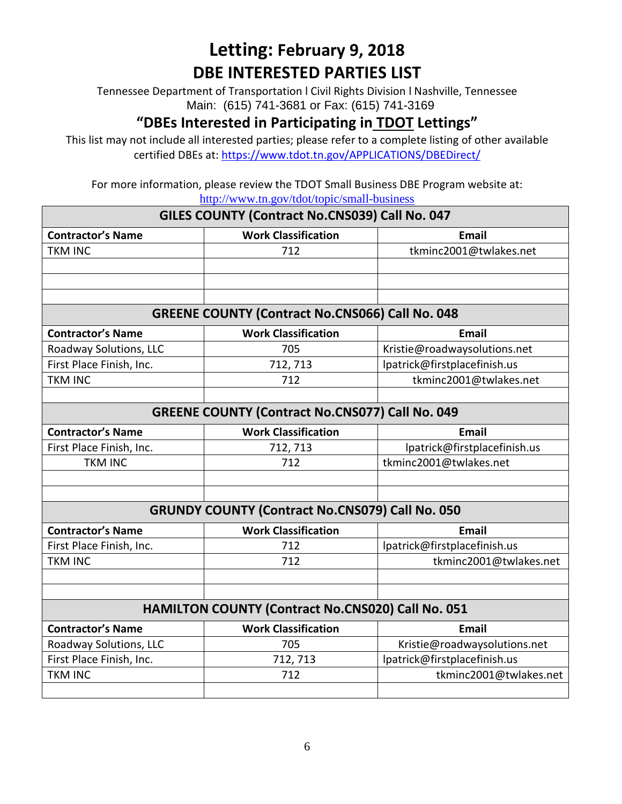Tennessee Department of Transportation l Civil Rights Division l Nashville, Tennessee Main: (615) 741-3681 or Fax: (615) 741-3169

### **"DBEs Interested in Participating in TDOT Lettings"**

This list may not include all interested parties; please refer to a complete listing of other available certified DBEs at:<https://www.tdot.tn.gov/APPLICATIONS/DBEDirect/>

| GILES COUNTY (Contract No.CNS039) Call No. 047         |                                                          |                              |  |
|--------------------------------------------------------|----------------------------------------------------------|------------------------------|--|
| <b>Contractor's Name</b>                               | <b>Work Classification</b>                               | <b>Email</b>                 |  |
| <b>TKM INC</b>                                         | 712                                                      | tkminc2001@twlakes.net       |  |
|                                                        |                                                          |                              |  |
|                                                        |                                                          |                              |  |
|                                                        |                                                          |                              |  |
|                                                        | <b>GREENE COUNTY (Contract No.CNS066) Call No. 048</b>   |                              |  |
| <b>Contractor's Name</b>                               | <b>Work Classification</b>                               | <b>Email</b>                 |  |
| Roadway Solutions, LLC                                 | 705                                                      | Kristie@roadwaysolutions.net |  |
| First Place Finish, Inc.                               | 712, 713                                                 | lpatrick@firstplacefinish.us |  |
| <b>TKM INC</b>                                         | 712                                                      | tkminc2001@twlakes.net       |  |
|                                                        |                                                          |                              |  |
| <b>GREENE COUNTY (Contract No.CNS077) Call No. 049</b> |                                                          |                              |  |
| <b>Contractor's Name</b>                               | <b>Work Classification</b>                               | <b>Email</b>                 |  |
| First Place Finish, Inc.                               | 712, 713                                                 | lpatrick@firstplacefinish.us |  |
| <b>TKM INC</b>                                         | 712                                                      | tkminc2001@twlakes.net       |  |
|                                                        |                                                          |                              |  |
|                                                        |                                                          |                              |  |
| <b>GRUNDY COUNTY (Contract No.CNS079) Call No. 050</b> |                                                          |                              |  |
| <b>Contractor's Name</b>                               | <b>Work Classification</b>                               | <b>Email</b>                 |  |
| First Place Finish, Inc.                               | 712                                                      | lpatrick@firstplacefinish.us |  |
| <b>TKM INC</b>                                         | 712                                                      | tkminc2001@twlakes.net       |  |
|                                                        |                                                          |                              |  |
|                                                        |                                                          |                              |  |
|                                                        | <b>HAMILTON COUNTY (Contract No.CNS020) Call No. 051</b> |                              |  |
| <b>Contractor's Name</b>                               | <b>Work Classification</b>                               | <b>Email</b>                 |  |
| Roadway Solutions, LLC                                 | 705                                                      | Kristie@roadwaysolutions.net |  |
| First Place Finish, Inc.                               | 712, 713                                                 | lpatrick@firstplacefinish.us |  |
| <b>TKM INC</b>                                         | 712                                                      | tkminc2001@twlakes.net       |  |
|                                                        |                                                          |                              |  |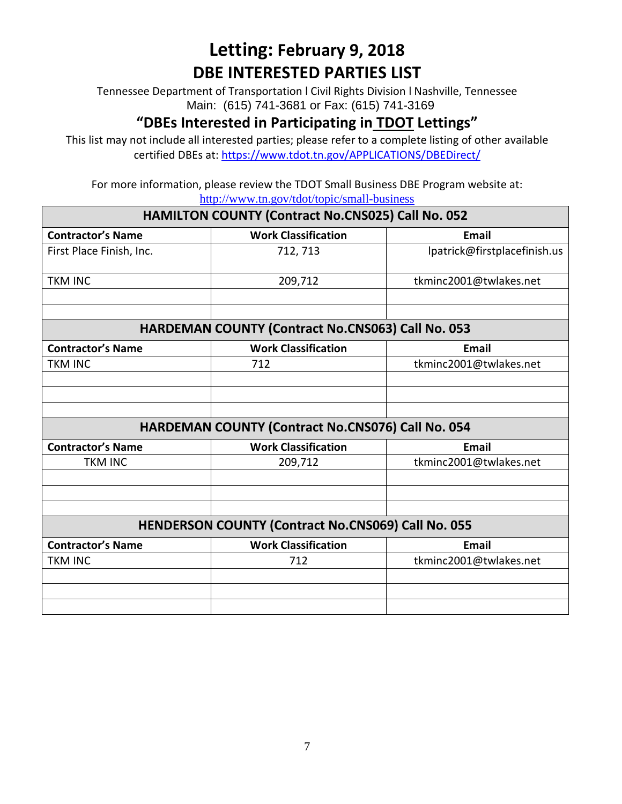Tennessee Department of Transportation l Civil Rights Division l Nashville, Tennessee Main: (615) 741-3681 or Fax: (615) 741-3169

### **"DBEs Interested in Participating in TDOT Lettings"**

This list may not include all interested parties; please refer to a complete listing of other available certified DBEs at:<https://www.tdot.tn.gov/APPLICATIONS/DBEDirect/>

| HAMILTON COUNTY (Contract No.CNS025) Call No. 052         |                                                          |                              |  |
|-----------------------------------------------------------|----------------------------------------------------------|------------------------------|--|
| <b>Contractor's Name</b>                                  | <b>Work Classification</b>                               | <b>Email</b>                 |  |
| First Place Finish, Inc.                                  | 712, 713                                                 | lpatrick@firstplacefinish.us |  |
| <b>TKM INC</b>                                            | 209,712                                                  | tkminc2001@twlakes.net       |  |
|                                                           |                                                          |                              |  |
| HARDEMAN COUNTY (Contract No.CNS063) Call No. 053         |                                                          |                              |  |
| <b>Contractor's Name</b>                                  | <b>Work Classification</b>                               | <b>Email</b>                 |  |
| <b>TKM INC</b>                                            | 712                                                      | tkminc2001@twlakes.net       |  |
|                                                           |                                                          |                              |  |
|                                                           |                                                          |                              |  |
|                                                           |                                                          |                              |  |
|                                                           | <b>HARDEMAN COUNTY (Contract No.CNS076) Call No. 054</b> |                              |  |
| <b>Contractor's Name</b>                                  | <b>Work Classification</b>                               | <b>Email</b>                 |  |
| <b>TKM INC</b>                                            | 209,712                                                  | tkminc2001@twlakes.net       |  |
|                                                           |                                                          |                              |  |
|                                                           |                                                          |                              |  |
|                                                           |                                                          |                              |  |
| <b>HENDERSON COUNTY (Contract No.CNS069) Call No. 055</b> |                                                          |                              |  |
| <b>Contractor's Name</b>                                  | <b>Work Classification</b>                               | <b>Email</b>                 |  |
| <b>TKM INC</b>                                            | 712                                                      | tkminc2001@twlakes.net       |  |
|                                                           |                                                          |                              |  |
|                                                           |                                                          |                              |  |
|                                                           |                                                          |                              |  |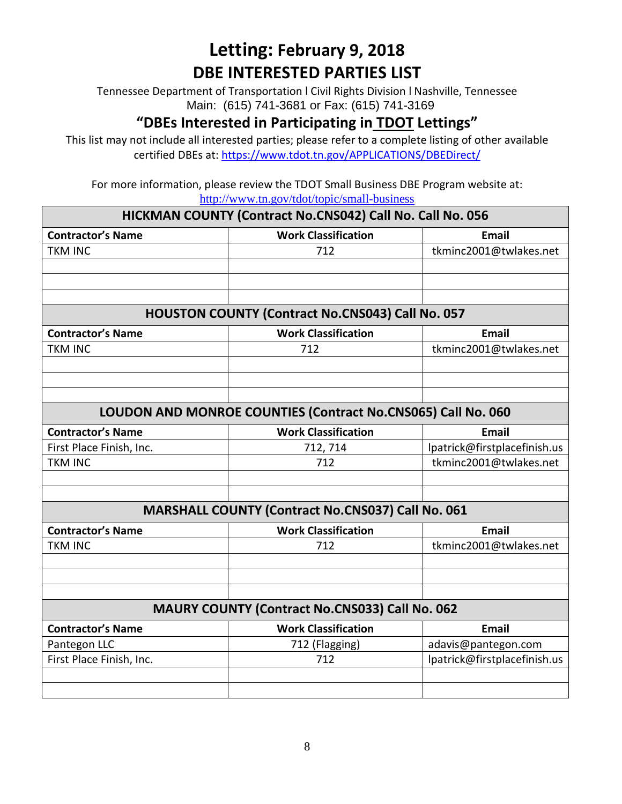Tennessee Department of Transportation l Civil Rights Division l Nashville, Tennessee Main: (615) 741-3681 or Fax: (615) 741-3169

#### **"DBEs Interested in Participating in TDOT Lettings"**

This list may not include all interested parties; please refer to a complete listing of other available certified DBEs at:<https://www.tdot.tn.gov/APPLICATIONS/DBEDirect/>

| HICKMAN COUNTY (Contract No.CNS042) Call No. Call No. 056 |                                                              |                              |  |
|-----------------------------------------------------------|--------------------------------------------------------------|------------------------------|--|
| <b>Contractor's Name</b>                                  | <b>Work Classification</b>                                   | Email                        |  |
| <b>TKM INC</b>                                            | 712                                                          | tkminc2001@twlakes.net       |  |
|                                                           |                                                              |                              |  |
|                                                           |                                                              |                              |  |
|                                                           |                                                              |                              |  |
|                                                           | <b>HOUSTON COUNTY (Contract No.CNS043) Call No. 057</b>      |                              |  |
| <b>Contractor's Name</b>                                  | <b>Work Classification</b>                                   | <b>Email</b>                 |  |
| <b>TKM INC</b>                                            | 712                                                          | tkminc2001@twlakes.net       |  |
|                                                           |                                                              |                              |  |
|                                                           |                                                              |                              |  |
|                                                           |                                                              |                              |  |
|                                                           | LOUDON AND MONROE COUNTIES (Contract No.CNS065) Call No. 060 |                              |  |
| <b>Contractor's Name</b>                                  | <b>Work Classification</b>                                   | <b>Email</b>                 |  |
| First Place Finish, Inc.                                  | 712, 714                                                     | lpatrick@firstplacefinish.us |  |
| <b>TKM INC</b>                                            | 712                                                          | tkminc2001@twlakes.net       |  |
|                                                           |                                                              |                              |  |
|                                                           |                                                              |                              |  |
|                                                           | <b>MARSHALL COUNTY (Contract No.CNS037) Call No. 061</b>     |                              |  |
| <b>Contractor's Name</b>                                  | <b>Work Classification</b>                                   | <b>Email</b>                 |  |
| <b>TKM INC</b>                                            | 712                                                          | tkminc2001@twlakes.net       |  |
|                                                           |                                                              |                              |  |
|                                                           |                                                              |                              |  |
|                                                           |                                                              |                              |  |
| <b>MAURY COUNTY (Contract No.CNS033) Call No. 062</b>     |                                                              |                              |  |
| <b>Contractor's Name</b>                                  | <b>Work Classification</b>                                   | Email                        |  |
| Pantegon LLC                                              | 712 (Flagging)                                               | adavis@pantegon.com          |  |
| First Place Finish, Inc.                                  | 712                                                          | lpatrick@firstplacefinish.us |  |
|                                                           |                                                              |                              |  |
|                                                           |                                                              |                              |  |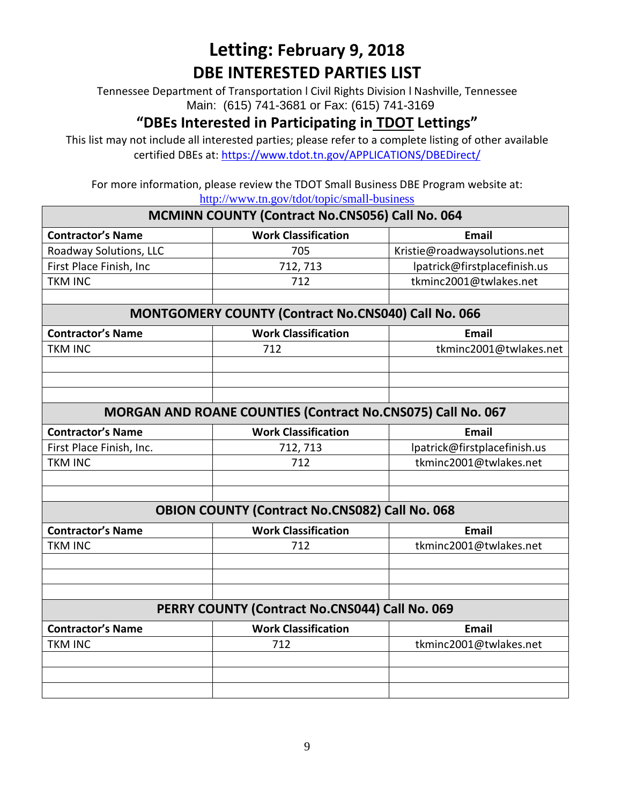Tennessee Department of Transportation l Civil Rights Division l Nashville, Tennessee Main: (615) 741-3681 or Fax: (615) 741-3169

### **"DBEs Interested in Participating in TDOT Lettings"**

This list may not include all interested parties; please refer to a complete listing of other available certified DBEs at:<https://www.tdot.tn.gov/APPLICATIONS/DBEDirect/>

|                                                        | <u>http://www.th.gov/tdot/topic/sinan-business</u>                 |                              |  |
|--------------------------------------------------------|--------------------------------------------------------------------|------------------------------|--|
| <b>MCMINN COUNTY (Contract No.CNS056) Call No. 064</b> |                                                                    |                              |  |
| <b>Contractor's Name</b>                               | <b>Work Classification</b>                                         | <b>Email</b>                 |  |
| Roadway Solutions, LLC                                 | 705                                                                | Kristie@roadwaysolutions.net |  |
| First Place Finish, Inc                                | 712, 713                                                           | lpatrick@firstplacefinish.us |  |
| <b>TKM INC</b>                                         | 712                                                                | tkminc2001@twlakes.net       |  |
|                                                        |                                                                    |                              |  |
|                                                        | MONTGOMERY COUNTY (Contract No.CNS040) Call No. 066                |                              |  |
| <b>Contractor's Name</b>                               | <b>Work Classification</b>                                         | <b>Email</b>                 |  |
| <b>TKM INC</b>                                         | 712                                                                | tkminc2001@twlakes.net       |  |
|                                                        |                                                                    |                              |  |
|                                                        |                                                                    |                              |  |
|                                                        |                                                                    |                              |  |
|                                                        | <b>MORGAN AND ROANE COUNTIES (Contract No.CNS075) Call No. 067</b> |                              |  |
| <b>Contractor's Name</b>                               | <b>Work Classification</b>                                         | <b>Email</b>                 |  |
| First Place Finish, Inc.                               | 712, 713                                                           | lpatrick@firstplacefinish.us |  |
| <b>TKM INC</b>                                         | 712                                                                | tkminc2001@twlakes.net       |  |
|                                                        |                                                                    |                              |  |
|                                                        |                                                                    |                              |  |
|                                                        | <b>OBION COUNTY (Contract No.CNS082) Call No. 068</b>              |                              |  |
| <b>Contractor's Name</b>                               | <b>Work Classification</b>                                         | <b>Email</b>                 |  |
| <b>TKM INC</b>                                         | 712                                                                | tkminc2001@twlakes.net       |  |
|                                                        |                                                                    |                              |  |
|                                                        |                                                                    |                              |  |
|                                                        |                                                                    |                              |  |
|                                                        | PERRY COUNTY (Contract No.CNS044) Call No. 069                     |                              |  |
| <b>Contractor's Name</b>                               | <b>Work Classification</b>                                         | <b>Email</b>                 |  |
| <b>TKM INC</b>                                         | 712                                                                | tkminc2001@twlakes.net       |  |
|                                                        |                                                                    |                              |  |
|                                                        |                                                                    |                              |  |
|                                                        |                                                                    |                              |  |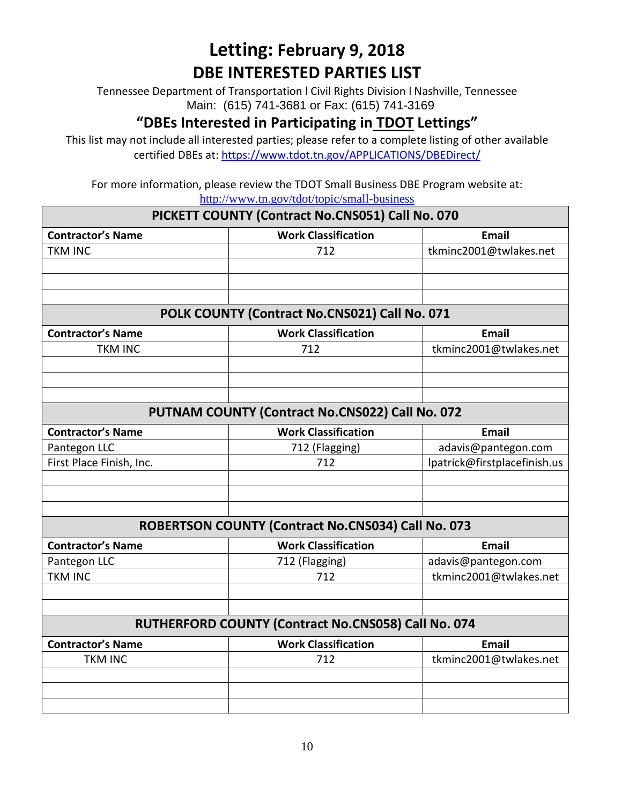Tennessee Department of Transportation l Civil Rights Division l Nashville, Tennessee Main: (615) 741-3681 or Fax: (615) 741-3169

#### **"DBEs Interested in Participating in TDOT Lettings"**

This list may not include all interested parties; please refer to a complete listing of other available certified DBEs at:<https://www.tdot.tn.gov/APPLICATIONS/DBEDirect/>

| PICKETT COUNTY (Contract No.CNS051) Call No. 070 |                                                     |                              |
|--------------------------------------------------|-----------------------------------------------------|------------------------------|
| <b>Contractor's Name</b>                         | <b>Work Classification</b>                          | <b>Email</b>                 |
| <b>TKM INC</b>                                   | 712                                                 | tkminc2001@twlakes.net       |
|                                                  |                                                     |                              |
|                                                  |                                                     |                              |
|                                                  |                                                     |                              |
|                                                  | POLK COUNTY (Contract No.CNS021) Call No. 071       |                              |
| <b>Contractor's Name</b>                         | <b>Work Classification</b>                          | <b>Email</b>                 |
| <b>TKM INC</b>                                   | 712                                                 | tkminc2001@twlakes.net       |
|                                                  |                                                     |                              |
|                                                  |                                                     |                              |
|                                                  |                                                     |                              |
|                                                  | PUTNAM COUNTY (Contract No.CNS022) Call No. 072     |                              |
| <b>Contractor's Name</b>                         | <b>Work Classification</b>                          | <b>Email</b>                 |
| Pantegon LLC                                     | 712 (Flagging)                                      | adavis@pantegon.com          |
| First Place Finish, Inc.                         | 712                                                 | lpatrick@firstplacefinish.us |
|                                                  |                                                     |                              |
|                                                  |                                                     |                              |
|                                                  |                                                     |                              |
|                                                  | ROBERTSON COUNTY (Contract No.CNS034) Call No. 073  |                              |
| <b>Contractor's Name</b>                         | <b>Work Classification</b>                          | <b>Email</b>                 |
| Pantegon LLC                                     | 712 (Flagging)                                      | adavis@pantegon.com          |
| <b>TKM INC</b>                                   | 712                                                 | tkminc2001@twlakes.net       |
|                                                  |                                                     |                              |
|                                                  |                                                     |                              |
|                                                  | RUTHERFORD COUNTY (Contract No.CNS058) Call No. 074 |                              |
| <b>Contractor's Name</b>                         | <b>Work Classification</b>                          | <b>Email</b>                 |
| <b>TKM INC</b>                                   | 712                                                 | tkminc2001@twlakes.net       |
|                                                  |                                                     |                              |
|                                                  |                                                     |                              |
|                                                  |                                                     |                              |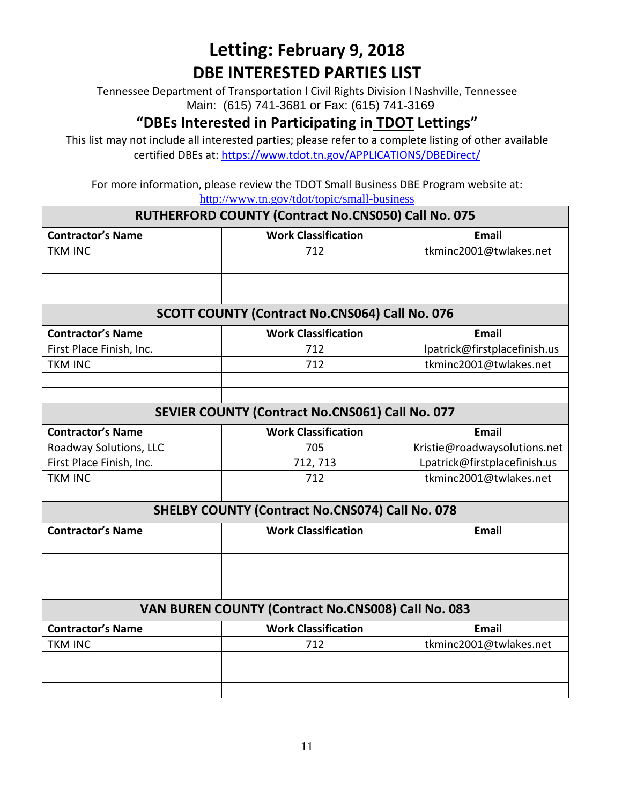Tennessee Department of Transportation l Civil Rights Division l Nashville, Tennessee Main: (615) 741-3681 or Fax: (615) 741-3169

### **"DBEs Interested in Participating in TDOT Lettings"**

This list may not include all interested parties; please refer to a complete listing of other available certified DBEs at:<https://www.tdot.tn.gov/APPLICATIONS/DBEDirect/>

| RUTHERFORD COUNTY (Contract No.CNS050) Call No. 075 |                                                        |                              |
|-----------------------------------------------------|--------------------------------------------------------|------------------------------|
| <b>Contractor's Name</b>                            | <b>Work Classification</b>                             | Email                        |
| <b>TKM INC</b>                                      | 712                                                    | tkminc2001@twlakes.net       |
|                                                     |                                                        |                              |
|                                                     |                                                        |                              |
|                                                     |                                                        |                              |
|                                                     | <b>SCOTT COUNTY (Contract No.CNS064) Call No. 076</b>  |                              |
| <b>Contractor's Name</b>                            | <b>Work Classification</b>                             | <b>Email</b>                 |
| First Place Finish, Inc.                            | 712                                                    | lpatrick@firstplacefinish.us |
| <b>TKM INC</b>                                      | 712                                                    | tkminc2001@twlakes.net       |
|                                                     |                                                        |                              |
|                                                     |                                                        |                              |
|                                                     | SEVIER COUNTY (Contract No.CNS061) Call No. 077        |                              |
| <b>Contractor's Name</b>                            | <b>Work Classification</b>                             | Email                        |
| Roadway Solutions, LLC                              | 705                                                    | Kristie@roadwaysolutions.net |
| First Place Finish, Inc.                            | 712, 713                                               | Lpatrick@firstplacefinish.us |
| <b>TKM INC</b>                                      | 712                                                    | tkminc2001@twlakes.net       |
|                                                     |                                                        |                              |
|                                                     | <b>SHELBY COUNTY (Contract No.CNS074) Call No. 078</b> |                              |
| <b>Contractor's Name</b>                            | <b>Work Classification</b>                             | <b>Email</b>                 |
|                                                     |                                                        |                              |
|                                                     |                                                        |                              |
|                                                     |                                                        |                              |
|                                                     |                                                        |                              |
| VAN BUREN COUNTY (Contract No.CNS008) Call No. 083  |                                                        |                              |
| <b>Contractor's Name</b>                            | <b>Work Classification</b>                             | <b>Email</b>                 |
| <b>TKM INC</b>                                      | 712                                                    | tkminc2001@twlakes.net       |
|                                                     |                                                        |                              |
|                                                     |                                                        |                              |
|                                                     |                                                        |                              |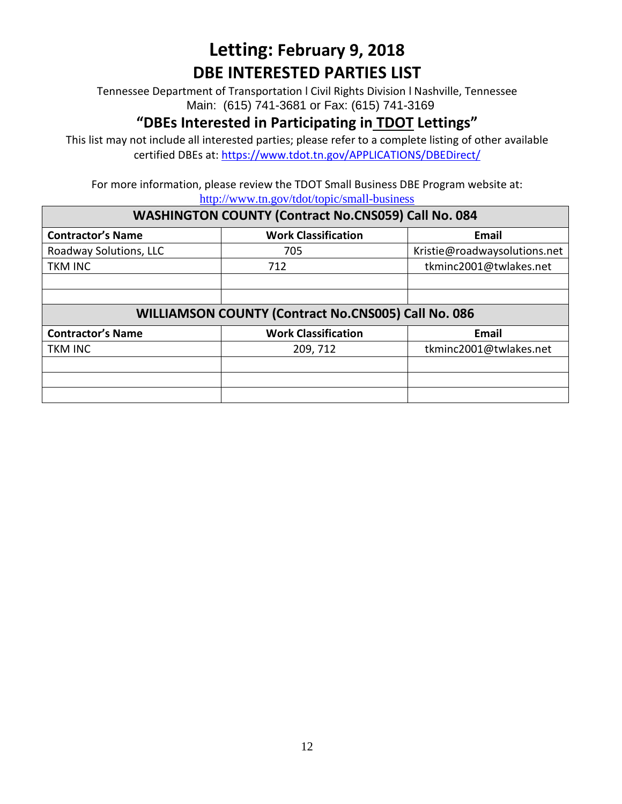Tennessee Department of Transportation l Civil Rights Division l Nashville, Tennessee Main: (615) 741-3681 or Fax: (615) 741-3169

#### **"DBEs Interested in Participating in TDOT Lettings"**

This list may not include all interested parties; please refer to a complete listing of other available certified DBEs at:<https://www.tdot.tn.gov/APPLICATIONS/DBEDirect/>

For more information, please review the TDOT Small Business DBE Program website at: <http://www.tn.gov/tdot/topic/small-business>

#### **WASHINGTON COUNTY (Contract No.CNS059) Call No. 084**

| <b>Contractor's Name</b>                            | <b>Work Classification</b> | Email                        |  |
|-----------------------------------------------------|----------------------------|------------------------------|--|
| Roadway Solutions, LLC                              | 705                        | Kristie@roadwaysolutions.net |  |
| <b>TKM INC</b>                                      | 712                        | tkminc2001@twlakes.net       |  |
|                                                     |                            |                              |  |
|                                                     |                            |                              |  |
| WILLIAMSON COUNTY (Contract No.CNS005) Call No. 086 |                            |                              |  |
| <b>Contractor's Name</b>                            | <b>Work Classification</b> | Email                        |  |
| <b>TKM INC</b>                                      | 209, 712                   | tkminc2001@twlakes.net       |  |
|                                                     |                            |                              |  |
|                                                     |                            |                              |  |
|                                                     |                            |                              |  |